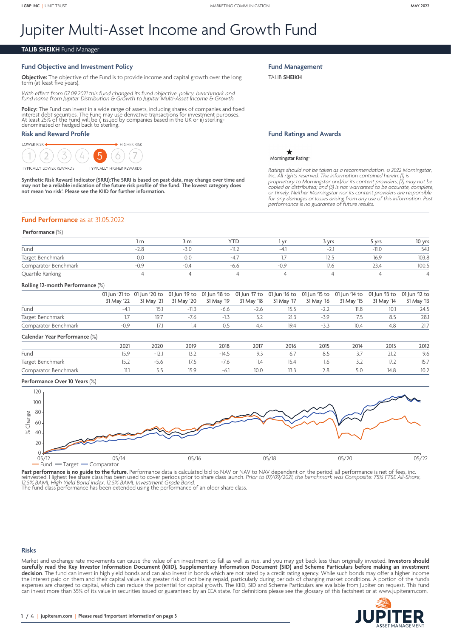# Jupiter Multi-Asset Income and Growth Fund

#### **TALIB SHEIKH** Fund Manager

#### **Fund Objective and Investment Policy**

**Objective:** The objective of the Fund is to provide income and capital growth over the long term (at least five years).

*With effect from 07.09.2021 this fund changed its fund objective, policy, benchmark and fund name from Jupiter Distribution & Growth to Jupiter Multi-Asset Income & Growth.*

**Policy:** The Fund can invest in a wide range of assets, including shares of companies and fixed<br>interest debt securities. The Fund may use derivative transactions for investment purposes.<br>At least 25% of the Fund will be

#### **Risk and Reward Profile**



Synthetic Risk Reward Indicator (SRRI):The SRRI is based on past data, may change over time and<br>may not be a reliable indication of the future risk profile of the fund. The lowest category does<br>not mean 'no risk'. Please s

## **Fund Performance** as at 31.05.2022

#### **Performance** (%)

|                      | m        | 3 m    | YTD    | Vr | 3 vrs            | vrs     | 10 yrs |  |  |
|----------------------|----------|--------|--------|----|------------------|---------|--------|--|--|
| Fund                 |          | $-3.0$ | $-11.$ |    | $-1$<br><u>.</u> | $-11.C$ | 54.    |  |  |
| Target Benchmark     |          | 0.0    | $-4$   |    | 12F<br>12.5      | 16.9    | 103.8  |  |  |
| Comparator Benchmark | $\cap$ C | $-0.4$ | -0.0   |    |                  | りくム     | 100.5  |  |  |
| Quartile Ranking     |          |        |        |    |                  |         |        |  |  |

#### **Rolling 12-month Performance** (%)

|                      | 01 Jun '21 to 01 Jun '20 to 01 Jun '19 to 01 Jun '18 to 01 Jun '17 to 01 Jun '16 to 01 Jun '15 to 01 Jun '14 to 01 Jun '13 to 01 Jun '12 to |         |        |        |      |        |      |      |      |
|----------------------|---------------------------------------------------------------------------------------------------------------------------------------------|---------|--------|--------|------|--------|------|------|------|
|                      | 31 May '22 31 May '21 31 May '20 31 May '19 31 May '18 31 May '17 31 May '16 31 May '15 31 May '14 31 May '13                               |         |        |        |      |        |      |      |      |
| Fund                 |                                                                                                                                             | $-11.3$ | -6.6   | $-2.6$ | 15.5 | $-2.2$ | 11.8 | 10.1 | 24.5 |
| Target Benchmark     |                                                                                                                                             | $-7.6$  | $-1.3$ |        | 21.3 | $-3.9$ |      | 8.5  | 28.1 |
| Comparator Benchmark |                                                                                                                                             |         | 0.5    | 4.4    | 19.4 |        | 10.4 | 4.8  | 21.7 |

#### **Calendar Year Performance** (%)

| ____________         |       |                  |      |        |      |       |      |      |                                               |      |
|----------------------|-------|------------------|------|--------|------|-------|------|------|-----------------------------------------------|------|
|                      | 2021  | 2020             | 2019 | 2018   | 2017 | 2016  | 2015 | 2014 | 2013                                          | 2012 |
| Fund                 | ر ، ب | 14. <sup>1</sup> |      | -14.5  |      | O.,   |      | ، ب  | 21.2                                          | 9.6  |
| Target Benchmark     | 1J.Z  |                  | 11.4 | -7.0   | 11.4 | 15.4  |      | ۔۔۔  | $\mathsf{I} \mathsf{I} \mathsf{I} \mathsf{I}$ | 15.7 |
| Comparator Benchmark | .     | -                |      | $-6.1$ | 10.C | ر . ر | Z.O  | 5.0  | 14.8                                          | IV.Z |

#### **Performance Over 10 Years** (%)



Past performance is no guide to the future. Performance data is calculated bid to NAV or NAV to NAV dependent on the period, all performance is net of fees, inc.<br>reinvested. Highest fee share class has been used to cover p

The fund class performance has been extended using the performance of an older share class.

#### **Risks**

Market and exchange rate movements can cause the value of an investment to fall as well as rise, and you may get back less than originally invested. **Investors should carefully read the Key Investor Information Document (KIID), Supplementary Information Document (SID) and Scheme Particulars before making an investment decision**. The fund can invest in high yield bonds and can also invest in bonds which are not rated by a credit rating agency. While such bonds may offer a higher income the interest paid on them and their capital value is at greater risk of not being repaid, particularly during periods of changing market conditions. A portion of the fund's expenses are charged to capital, which can reduce the potential for capital growth. The KIID, SID and Scheme Particulars are available from Jupiter on request. This fund can invest more than 35% of its value in securities issued or guaranteed by an EEA state. For definitions please see the glossary of this factsheet or at <www.jupiteram.com>.



# **Fund Ratings and Awards**

 $\star$ Morningstar Rating

**Fund Management** TALIB **SHEIKH**

*Ratings should not be taken as a recommendation.* © *2022 Morningstar, Inc. All rights reserved. The information contained herein: (1) is proprietary to Morningstar and/or its content providers; (2) may not be copied or distributed; and (3) is not warranted to be accurate, complete, or timely. Neither Morningstar nor its content providers are responsible for any damages or losses arising from any use of this information. Past performance is no guarantee of future results.*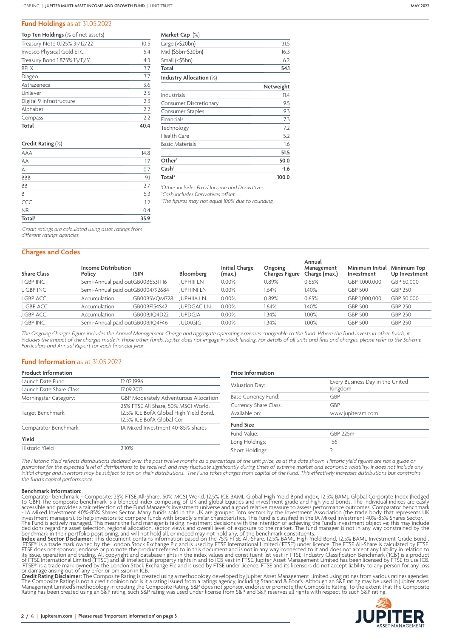#### **Fund Holdings** as at 31.05.2022

| <b>Top Ten Holdings</b> (% of net assets) |      |
|-------------------------------------------|------|
| Treasury Note 0.125% 31/12/22             | 10.5 |
| Invesco Physical Gold ETC                 | 5.4  |
| Treasury Bond 1.875% 15/11/51             | 4.3  |
| <b>RELX</b>                               | 3.7  |
| Diageo                                    | 3.7  |
| Astrazeneca                               | 3.6  |
| Unilever                                  | 2.5  |
| Digital 9 Infrastructure                  | 2.3  |
| Alphabet                                  | 2.2  |
| Compass                                   | 2.2  |
| Total                                     | 40.4 |

#### **Credit Rating** (%)

| <b>Total</b>   | 35.9 |
|----------------|------|
| <b>NR</b>      | 0.4  |
| CCC            | 1.2  |
| B              | 5.3  |
| BB             | 2.7  |
| <b>BBB</b>     | 9.1  |
| $\overline{A}$ | 0.7  |
| AA             | 1.7  |
| AAA            | 14.8 |

| Market Cap (%) |  |  |
|----------------|--|--|
|----------------|--|--|

| Large $($ >\$20 $bn)$         | 31.5      |
|-------------------------------|-----------|
| Mid (\$5bn-\$20bn)            | 16.3      |
| Small (<\$5bn)                | 6.2       |
| Total                         | 54.1      |
| Industry Allocation $(\%)$    |           |
|                               | Netweight |
| Industrials                   | 11.4      |
| <b>Consumer Discretionary</b> | 9.5       |
| Consumer Staples              | 9.3       |
| Financials                    | 7.3       |
| Technology                    | 7.2       |

### Health Care 5.2 Basic Materials 1.6 **51.5 Other**<sup>1</sup> **50.0 Cash**<sup>2</sup> **-1.6 Total3 100.0**

*1 Other includes Fixed Income and Derivatives.*

*2 Cash includes Derivatives offset.*

*3 The figures may not equal 100% due to rounding.*

*1 Credit ratings are calculated using asset ratings from different ratings agencies.*

#### **Charges and Codes**

| <b>Share Class</b> | <b>Income Distribution</b><br>Policy | <b>ISIN</b>                      | Bloomberg         | <b>Initial Charge</b><br>(max.) | Ongoing<br><b>Charges Figure</b> | Annual<br>Management<br>Charge (max.) | Minimum Initial<br>Investment | Minimum Top<br>Up Investment |
|--------------------|--------------------------------------|----------------------------------|-------------------|---------------------------------|----------------------------------|---------------------------------------|-------------------------------|------------------------------|
| I GBP INC          |                                      | Semi-Annual paid outGB00B6531T16 | <b>JUPHIII LN</b> | $0.00\%$                        | 0.89%                            | 0.65%                                 | GBP 1,000,000                 | GBP 50,000                   |
| L GBP INC          |                                      | Semi-Annual paid outGB0004792684 | <b>JUPHINI LN</b> | $0.00\%$                        | 1.64%                            | 1.40%                                 | GBP 500                       | <b>GBP 250</b>               |
| I GBP ACC          | Accumulation                         | GB00B5VOM728                     | <b>JUPHIIA LN</b> | $0.00\%$                        | 0.89%                            | 0.65%                                 | GBP 1,000,000                 | GBP 50,000                   |
| L GBP ACC          | Accumulation                         | GB00BF154S42                     | <b>JUPDGACLN</b>  | $0.00\%$                        | 1.64%                            | 1.40%                                 | <b>GBP 500</b>                | <b>GBP 250</b>               |
| J GBP ACC          | Accumulation                         | GB00BJJQ4D22                     | <b>JUPDGJA</b>    | $0.00\%$                        | .34%                             | 1.00%                                 | <b>GBP 500</b>                | <b>GBP 250</b>               |
| J GBP INC          |                                      | Semi-Annual paid outGB00BJJQ4F46 | <b>JUDAGIG</b>    | $0.00\%$                        | 1.34%                            | 1.00%                                 | <b>GBP 500</b>                | <b>GBP 250</b>               |

*The Ongoing Charges Figure includes the Annual Management Charge and aggregate operating expenses chargeable to the fund. Where the fund invests in other funds, it includes the impact of the charges made in those other funds. Jupiter does not engage in stock lending. For details of all units and fees and charges, please refer to the Scheme Particulars and Annual Report for each financial year.*

#### **Fund Information** as at 31.05.2022

| <b>Product Information</b>      |                                        | <b>Price Information</b>   |                                  |  |  |
|---------------------------------|----------------------------------------|----------------------------|----------------------------------|--|--|
| Launch Date Fund:<br>12.02.1996 |                                        | Valuation Day:             | Every Business Day in the United |  |  |
| Launch Date Share Class:        | 17.09.2012                             |                            | Kingdom                          |  |  |
| Morningstar Category:           | GBP Moderately Adventurous Allocation  | <b>Base Currency Fund:</b> | GBP                              |  |  |
|                                 | 25% FTSE All Share, 50% MSCI World,    | Currency Share Class:      | GBP                              |  |  |
| Target Benchmark:               | 12.5% ICE BofA Global High Yield Bond, | Available on:              | www.jupiteram.com                |  |  |
|                                 | 12.5% ICE BofA Global Cor              |                            |                                  |  |  |
| Comparator Benchmark:           | IA Mixed Investment 40-85% Shares      | <b>Fund Size</b>           |                                  |  |  |
|                                 |                                        | Fund Value:                | GBP 225m                         |  |  |
| Yield                           |                                        | Long Holdings:             | 156                              |  |  |
| Historic Yield                  | 2.10%                                  | Short Holdings:            |                                  |  |  |
|                                 |                                        |                            |                                  |  |  |

The Historic Yield reflects distributions declared over the past twelve months as a percentage of the unit price, as at the date shown. Historic yield figures are not a guide or *guarantee for the expected level of distributions to be received, and may fluctuate significantly during times of extreme market and economic volatility. It does not include any initial charge and investors may be subject to tax on their distributions. The Fund takes charges from capital of the Fund. This effectively increases distributions but constrains the fund's capital performance.*

**Benchmark Information:**<br>Comparator benchmark - Composite: 25% FTSE All-Share, 50% MCSI World, 12.5% ICE BAML Global High Yield Bond index, 12.5% BAML Global Corporate Index (hedged<br>cocessible and provides a fair reflectio

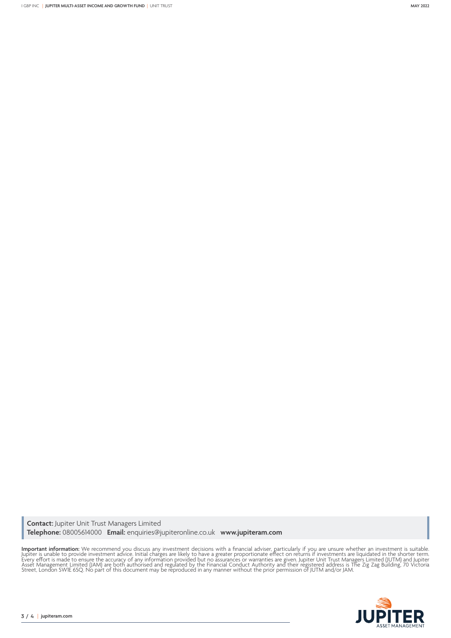**Contact:** Jupiter Unit Trust Managers Limited **Telephone:** 08005614000 **Email:** enquiries@jupiteronline.co.uk **www.jupiteram.com**

**Important information:** We recommend you discuss any investment decisions with a financial adviser, particularly if you are unsure whether an investment is suitable.<br>Jupiter is unable to provide investment advice. Initial